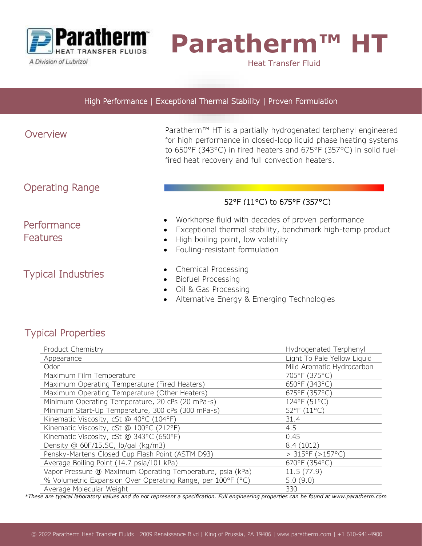

A Division of Lubrizol

# **Paratherm™ H**

Heat Transfer Fluid

#### High Performance | Exceptional Thermal Stability | Proven Formulation

# Overview

i<br>I

Paratherm™ HT is a partially hydrogenated terphenyl engineered for high performance in closed-loop liquid phase heating systems to 650°F (343°C) in fired heaters and 675°F (357°C) in solid fuelfired heat recovery and full convection heaters.

# Operating Range

**Performance** 

**Features** 

## 52°F (11°C) to 675°F (357°C)

- Workhorse fluid with decades of proven performance
- Exceptional thermal stability, benchmark high-temp product
- High boiling point, low volatility
- Fouling-resistant formulation

# Typical Industries

- Chemical Processing
- Biofuel Processing
- Oil & Gas Processing
- Alternative Energy & Emerging Technologies

# Typical Properties

| Product Chemistry                                           | Hydrogenated Terphenyl      |
|-------------------------------------------------------------|-----------------------------|
| Appearance                                                  | Light To Pale Yellow Liquid |
| Odor                                                        | Mild Aromatic Hydrocarbon   |
| Maximum Film Temperature                                    | 705°F (375°C)               |
| Maximum Operating Temperature (Fired Heaters)               | 650°F (343°C)               |
| Maximum Operating Temperature (Other Heaters)               | 675°F (357°C)               |
| Minimum Operating Temperature, 20 cPs (20 mPa-s)            | 124°F (51°C)                |
| Minimum Start-Up Temperature, 300 cPs (300 mPa-s)           | 52°F (11°C)                 |
| Kinematic Viscosity, cSt @ 40°C (104°F)                     | 31.4                        |
| Kinematic Viscosity, cSt @ 100°C (212°F)                    | 4.5                         |
| Kinematic Viscosity, cSt @ 343°C (650°F)                    | 0.45                        |
| Density @ 60F/15.5C, lb/gal (kg/m3)                         | 8.4(1012)                   |
| Pensky-Martens Closed Cup Flash Point (ASTM D93)            | $>$ 315°F ( $>$ 157°C)      |
| Average Boiling Point (14.7 psia/101 kPa)                   | 670°F (354°C)               |
| Vapor Pressure @ Maximum Operating Temperature, psia (kPa)  | 11.5(77.9)                  |
| % Volumetric Expansion Over Operating Range, per 100°F (°C) | 5.0(9.0)                    |
| Average Molecular Weight                                    | 330                         |

*\*These are typical laboratory values and do not represent a specification. Full engineering properties can be found at www.paratherm.com*